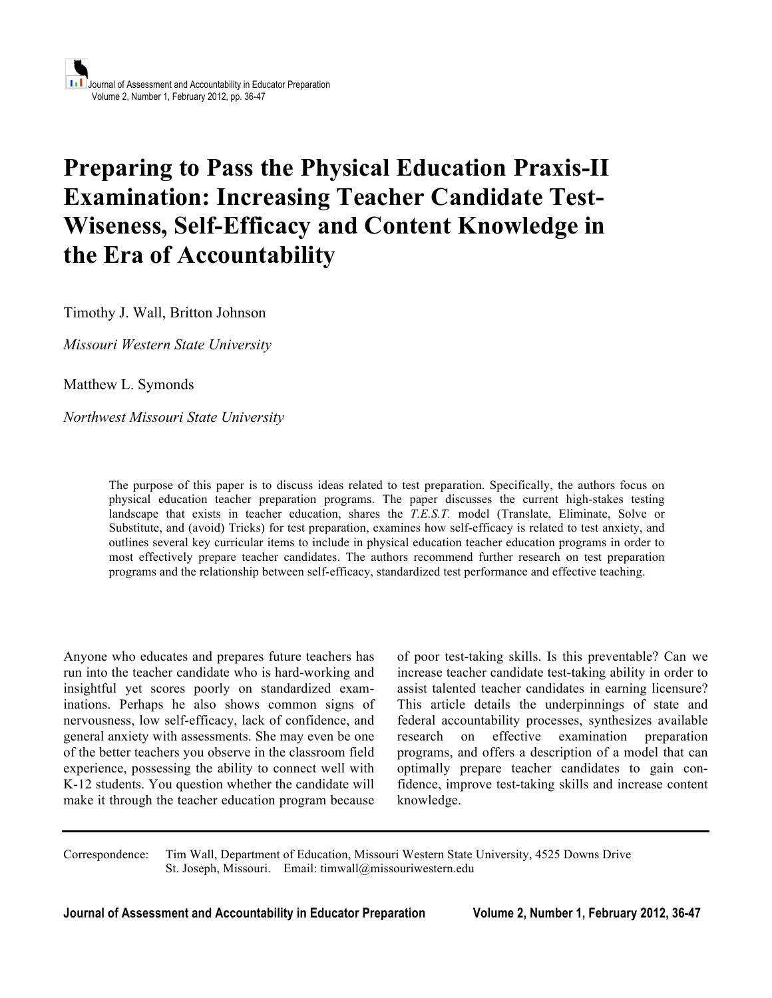# **Preparing to Pass the Physical Education Praxis-II Examination: Increasing Teacher Candidate Test-Wiseness, Self-Efficacy and Content Knowledge in the Era of Accountability**

Timothy J. Wall, Britton Johnson

*Missouri Western State University*

Matthew L. Symonds

*Northwest Missouri State University*

The purpose of this paper is to discuss ideas related to test preparation. Specifically, the authors focus on physical education teacher preparation programs. The paper discusses the current high-stakes testing landscape that exists in teacher education, shares the *T.E.S.T.* model (Translate, Eliminate, Solve or Substitute, and (avoid) Tricks) for test preparation, examines how self-efficacy is related to test anxiety, and outlines several key curricular items to include in physical education teacher education programs in order to most effectively prepare teacher candidates. The authors recommend further research on test preparation programs and the relationship between self-efficacy, standardized test performance and effective teaching.

Anyone who educates and prepares future teachers has run into the teacher candidate who is hard-working and insightful yet scores poorly on standardized examinations. Perhaps he also shows common signs of nervousness, low self-efficacy, lack of confidence, and general anxiety with assessments. She may even be one of the better teachers you observe in the classroom field experience, possessing the ability to connect well with K-12 students. You question whether the candidate will make it through the teacher education program because

of poor test-taking skills. Is this preventable? Can we increase teacher candidate test-taking ability in order to assist talented teacher candidates in earning licensure? This article details the underpinnings of state and federal accountability processes, synthesizes available research on effective examination preparation programs, and offers a description of a model that can optimally prepare teacher candidates to gain confidence, improve test-taking skills and increase content knowledge.

Correspondence: Tim Wall, Department of Education, Missouri Western State University, 4525 Downs Drive St. Joseph, Missouri. Email: timwall@missouriwestern.edu

**Journal of Assessment and Accountability in Educator Preparation Volume 2, Number 1, February 2012, 36-47**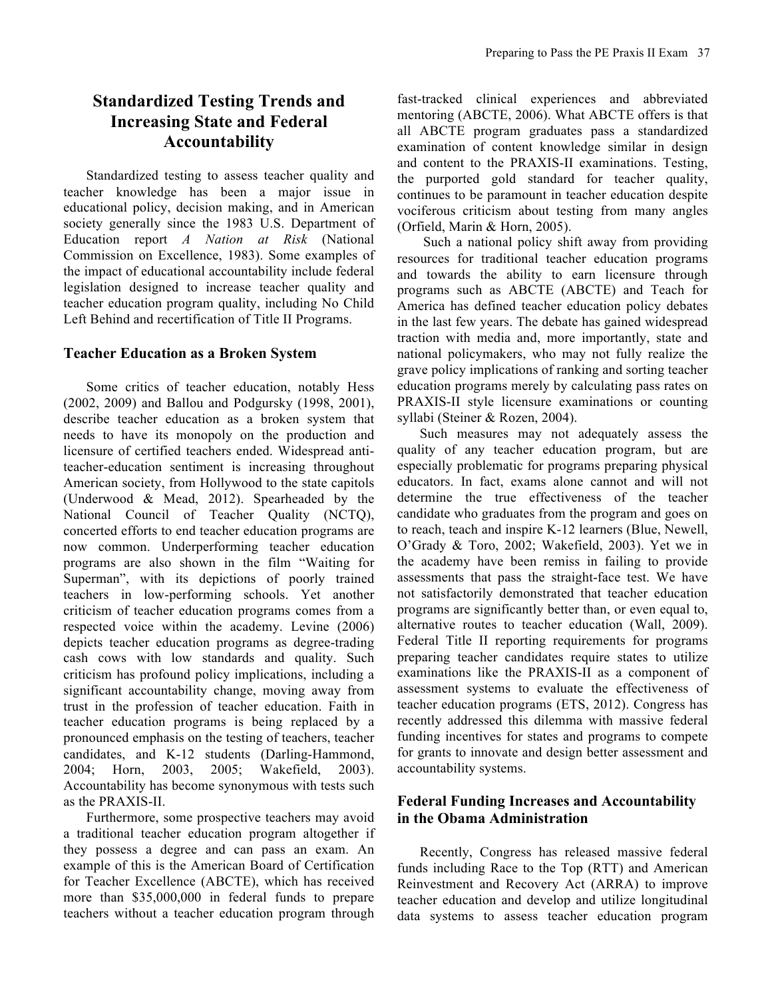# **Standardized Testing Trends and Increasing State and Federal Accountability**

Standardized testing to assess teacher quality and teacher knowledge has been a major issue in educational policy, decision making, and in American society generally since the 1983 U.S. Department of Education report *A Nation at Risk* (National Commission on Excellence, 1983). Some examples of the impact of educational accountability include federal legislation designed to increase teacher quality and teacher education program quality, including No Child Left Behind and recertification of Title II Programs.

#### **Teacher Education as a Broken System**

Some critics of teacher education, notably Hess (2002, 2009) and Ballou and Podgursky (1998, 2001), describe teacher education as a broken system that needs to have its monopoly on the production and licensure of certified teachers ended. Widespread antiteacher-education sentiment is increasing throughout American society, from Hollywood to the state capitols (Underwood & Mead, 2012). Spearheaded by the National Council of Teacher Quality (NCTQ), concerted efforts to end teacher education programs are now common. Underperforming teacher education programs are also shown in the film "Waiting for Superman", with its depictions of poorly trained teachers in low-performing schools. Yet another criticism of teacher education programs comes from a respected voice within the academy. Levine (2006) depicts teacher education programs as degree-trading cash cows with low standards and quality. Such criticism has profound policy implications, including a significant accountability change, moving away from trust in the profession of teacher education. Faith in teacher education programs is being replaced by a pronounced emphasis on the testing of teachers, teacher candidates, and K-12 students (Darling-Hammond, 2004; Horn, 2003, 2005; Wakefield, 2003). Accountability has become synonymous with tests such as the PRAXIS-II.

Furthermore, some prospective teachers may avoid a traditional teacher education program altogether if they possess a degree and can pass an exam. An example of this is the American Board of Certification for Teacher Excellence (ABCTE), which has received more than \$35,000,000 in federal funds to prepare teachers without a teacher education program through

fast-tracked clinical experiences and abbreviated mentoring (ABCTE, 2006). What ABCTE offers is that all ABCTE program graduates pass a standardized examination of content knowledge similar in design and content to the PRAXIS-II examinations. Testing, the purported gold standard for teacher quality, continues to be paramount in teacher education despite vociferous criticism about testing from many angles (Orfield, Marin & Horn, 2005).

Such a national policy shift away from providing resources for traditional teacher education programs and towards the ability to earn licensure through programs such as ABCTE (ABCTE) and Teach for America has defined teacher education policy debates in the last few years. The debate has gained widespread traction with media and, more importantly, state and national policymakers, who may not fully realize the grave policy implications of ranking and sorting teacher education programs merely by calculating pass rates on PRAXIS-II style licensure examinations or counting syllabi (Steiner & Rozen, 2004).

Such measures may not adequately assess the quality of any teacher education program, but are especially problematic for programs preparing physical educators. In fact, exams alone cannot and will not determine the true effectiveness of the teacher candidate who graduates from the program and goes on to reach, teach and inspire K-12 learners (Blue, Newell, O'Grady & Toro, 2002; Wakefield, 2003). Yet we in the academy have been remiss in failing to provide assessments that pass the straight-face test. We have not satisfactorily demonstrated that teacher education programs are significantly better than, or even equal to, alternative routes to teacher education (Wall, 2009). Federal Title II reporting requirements for programs preparing teacher candidates require states to utilize examinations like the PRAXIS-II as a component of assessment systems to evaluate the effectiveness of teacher education programs (ETS, 2012). Congress has recently addressed this dilemma with massive federal funding incentives for states and programs to compete for grants to innovate and design better assessment and accountability systems.

#### **Federal Funding Increases and Accountability in the Obama Administration**

Recently, Congress has released massive federal funds including Race to the Top (RTT) and American Reinvestment and Recovery Act (ARRA) to improve teacher education and develop and utilize longitudinal data systems to assess teacher education program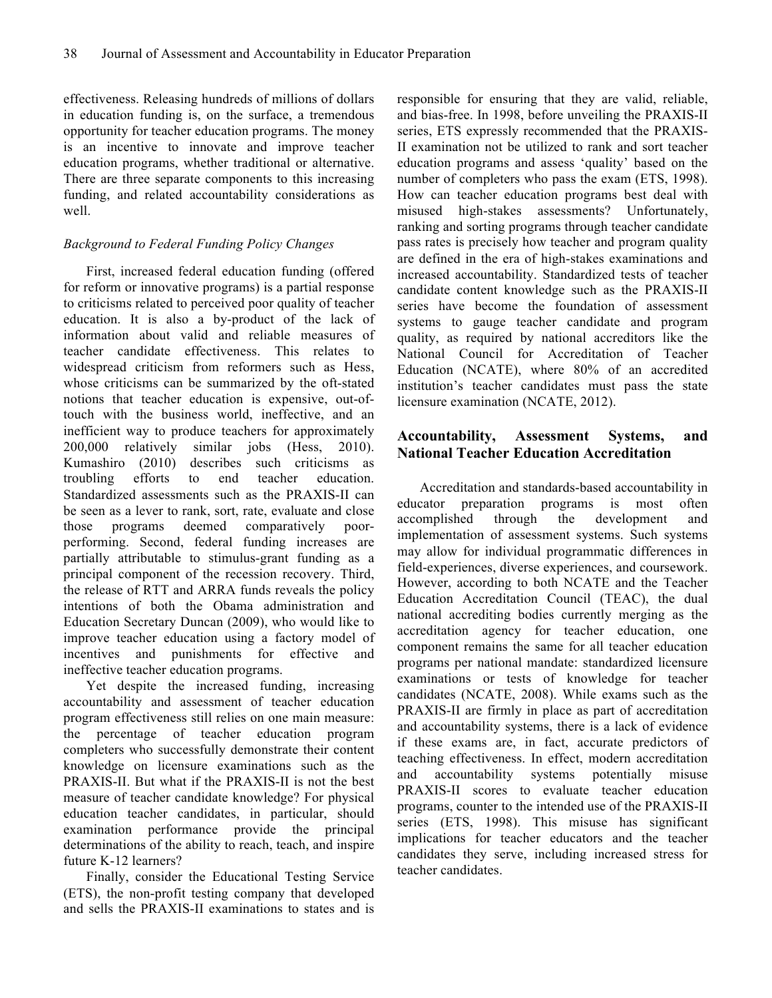effectiveness. Releasing hundreds of millions of dollars in education funding is, on the surface, a tremendous opportunity for teacher education programs. The money is an incentive to innovate and improve teacher education programs, whether traditional or alternative. There are three separate components to this increasing funding, and related accountability considerations as well.

#### *Background to Federal Funding Policy Changes*

First, increased federal education funding (offered for reform or innovative programs) is a partial response to criticisms related to perceived poor quality of teacher education. It is also a by-product of the lack of information about valid and reliable measures of teacher candidate effectiveness. This relates to widespread criticism from reformers such as Hess, whose criticisms can be summarized by the oft-stated notions that teacher education is expensive, out-oftouch with the business world, ineffective, and an inefficient way to produce teachers for approximately 200,000 relatively similar jobs (Hess, 2010). Kumashiro (2010) describes such criticisms as troubling efforts to end teacher education. Standardized assessments such as the PRAXIS-II can be seen as a lever to rank, sort, rate, evaluate and close those programs deemed comparatively poorperforming. Second, federal funding increases are partially attributable to stimulus-grant funding as a principal component of the recession recovery. Third, the release of RTT and ARRA funds reveals the policy intentions of both the Obama administration and Education Secretary Duncan (2009), who would like to improve teacher education using a factory model of incentives and punishments for effective and ineffective teacher education programs.

Yet despite the increased funding, increasing accountability and assessment of teacher education program effectiveness still relies on one main measure: the percentage of teacher education program completers who successfully demonstrate their content knowledge on licensure examinations such as the PRAXIS-II. But what if the PRAXIS-II is not the best measure of teacher candidate knowledge? For physical education teacher candidates, in particular, should examination performance provide the principal determinations of the ability to reach, teach, and inspire future K-12 learners?

Finally, consider the Educational Testing Service (ETS), the non-profit testing company that developed and sells the PRAXIS-II examinations to states and is

responsible for ensuring that they are valid, reliable, and bias-free. In 1998, before unveiling the PRAXIS-II series, ETS expressly recommended that the PRAXIS-II examination not be utilized to rank and sort teacher education programs and assess 'quality' based on the number of completers who pass the exam (ETS, 1998). How can teacher education programs best deal with misused high-stakes assessments? Unfortunately, ranking and sorting programs through teacher candidate pass rates is precisely how teacher and program quality are defined in the era of high-stakes examinations and increased accountability. Standardized tests of teacher candidate content knowledge such as the PRAXIS-II series have become the foundation of assessment systems to gauge teacher candidate and program quality, as required by national accreditors like the National Council for Accreditation of Teacher Education (NCATE), where 80% of an accredited institution's teacher candidates must pass the state licensure examination (NCATE, 2012).

## **Accountability, Assessment Systems, and National Teacher Education Accreditation**

Accreditation and standards-based accountability in educator preparation programs is most often accomplished through the development and implementation of assessment systems. Such systems may allow for individual programmatic differences in field-experiences, diverse experiences, and coursework. However, according to both NCATE and the Teacher Education Accreditation Council (TEAC), the dual national accrediting bodies currently merging as the accreditation agency for teacher education, one component remains the same for all teacher education programs per national mandate: standardized licensure examinations or tests of knowledge for teacher candidates (NCATE, 2008). While exams such as the PRAXIS-II are firmly in place as part of accreditation and accountability systems, there is a lack of evidence if these exams are, in fact, accurate predictors of teaching effectiveness. In effect, modern accreditation and accountability systems potentially misuse PRAXIS-II scores to evaluate teacher education programs, counter to the intended use of the PRAXIS-II series (ETS, 1998). This misuse has significant implications for teacher educators and the teacher candidates they serve, including increased stress for teacher candidates.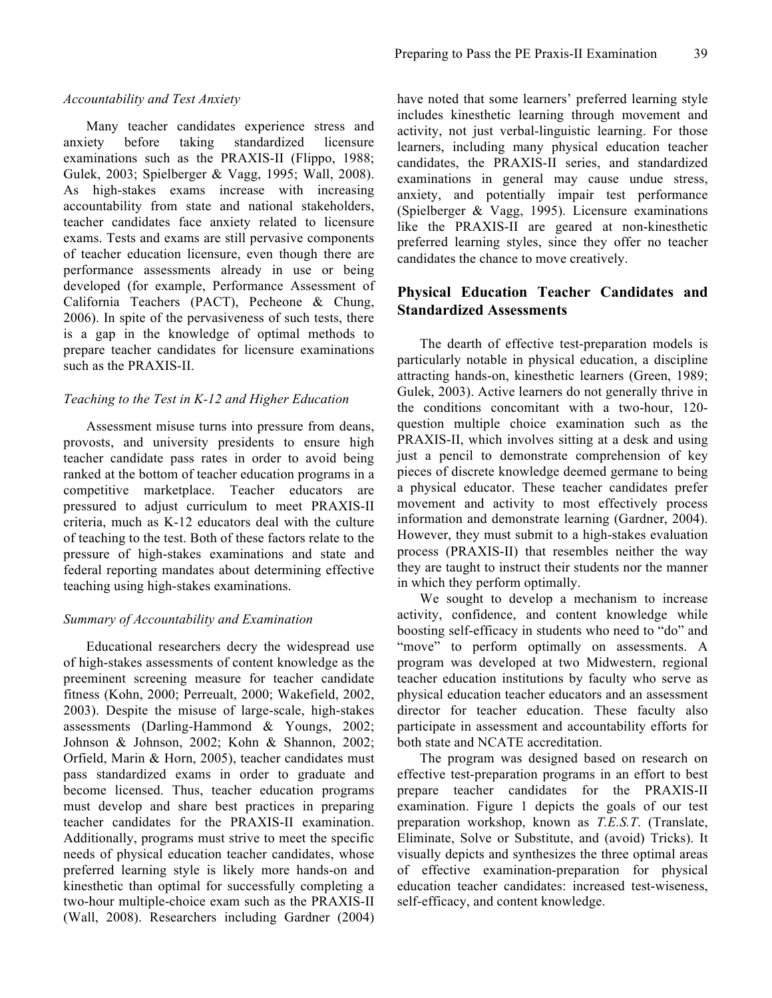#### *Accountability and Test Anxiety*

Many teacher candidates experience stress and anxiety before taking standardized licensure examinations such as the PRAXIS-II (Flippo, 1988; Gulek, 2003; Spielberger & Vagg, 1995; Wall, 2008). As high-stakes exams increase with increasing accountability from state and national stakeholders, teacher candidates face anxiety related to licensure exams. Tests and exams are still pervasive components of teacher education licensure, even though there are performance assessments already in use or being developed (for example, Performance Assessment of California Teachers (PACT), Pecheone & Chung, 2006). In spite of the pervasiveness of such tests, there is a gap in the knowledge of optimal methods to prepare teacher candidates for licensure examinations such as the PRAXIS-II.

#### *Teaching to the Test in K-12 and Higher Education*

Assessment misuse turns into pressure from deans, provosts, and university presidents to ensure high teacher candidate pass rates in order to avoid being ranked at the bottom of teacher education programs in a competitive marketplace. Teacher educators are pressured to adjust curriculum to meet PRAXIS-II criteria, much as K-12 educators deal with the culture of teaching to the test. Both of these factors relate to the pressure of high-stakes examinations and state and federal reporting mandates about determining effective teaching using high-stakes examinations.

#### *Summary of Accountability and Examination*

Educational researchers decry the widespread use of high-stakes assessments of content knowledge as the preeminent screening measure for teacher candidate fitness (Kohn, 2000; Perreualt, 2000; Wakefield, 2002, 2003). Despite the misuse of large-scale, high-stakes assessments (Darling-Hammond & Youngs, 2002; Johnson & Johnson, 2002; Kohn & Shannon, 2002; Orfield, Marin & Horn, 2005), teacher candidates must pass standardized exams in order to graduate and become licensed. Thus, teacher education programs must develop and share best practices in preparing teacher candidates for the PRAXIS-II examination. Additionally, programs must strive to meet the specific needs of physical education teacher candidates, whose preferred learning style is likely more hands-on and kinesthetic than optimal for successfully completing a two-hour multiple-choice exam such as the PRAXIS-II (Wall, 2008). Researchers including Gardner (2004)

have noted that some learners' preferred learning style includes kinesthetic learning through movement and activity, not just verbal-linguistic learning. For those learners, including many physical education teacher candidates, the PRAXIS-II series, and standardized examinations in general may cause undue stress, anxiety, and potentially impair test performance (Spielberger & Vagg, 1995). Licensure examinations like the PRAXIS-II are geared at non-kinesthetic preferred learning styles, since they offer no teacher candidates the chance to move creatively.

#### **Physical Education Teacher Candidates and Standardized Assessments**

The dearth of effective test-preparation models is particularly notable in physical education, a discipline attracting hands-on, kinesthetic learners (Green, 1989; Gulek, 2003). Active learners do not generally thrive in the conditions concomitant with a two-hour, 120 question multiple choice examination such as the PRAXIS-II, which involves sitting at a desk and using just a pencil to demonstrate comprehension of key pieces of discrete knowledge deemed germane to being a physical educator. These teacher candidates prefer movement and activity to most effectively process information and demonstrate learning (Gardner, 2004). However, they must submit to a high-stakes evaluation process (PRAXIS-II) that resembles neither the way they are taught to instruct their students nor the manner in which they perform optimally.

We sought to develop a mechanism to increase activity, confidence, and content knowledge while boosting self-efficacy in students who need to "do" and "move" to perform optimally on assessments. A program was developed at two Midwestern, regional teacher education institutions by faculty who serve as physical education teacher educators and an assessment director for teacher education. These faculty also participate in assessment and accountability efforts for both state and NCATE accreditation.

The program was designed based on research on effective test-preparation programs in an effort to best prepare teacher candidates for the PRAXIS-II examination. Figure 1 depicts the goals of our test preparation workshop, known as *T.E.S.T*. (Translate, Eliminate, Solve or Substitute, and (avoid) Tricks). It visually depicts and synthesizes the three optimal areas of effective examination-preparation for physical education teacher candidates: increased test-wiseness, self-efficacy, and content knowledge.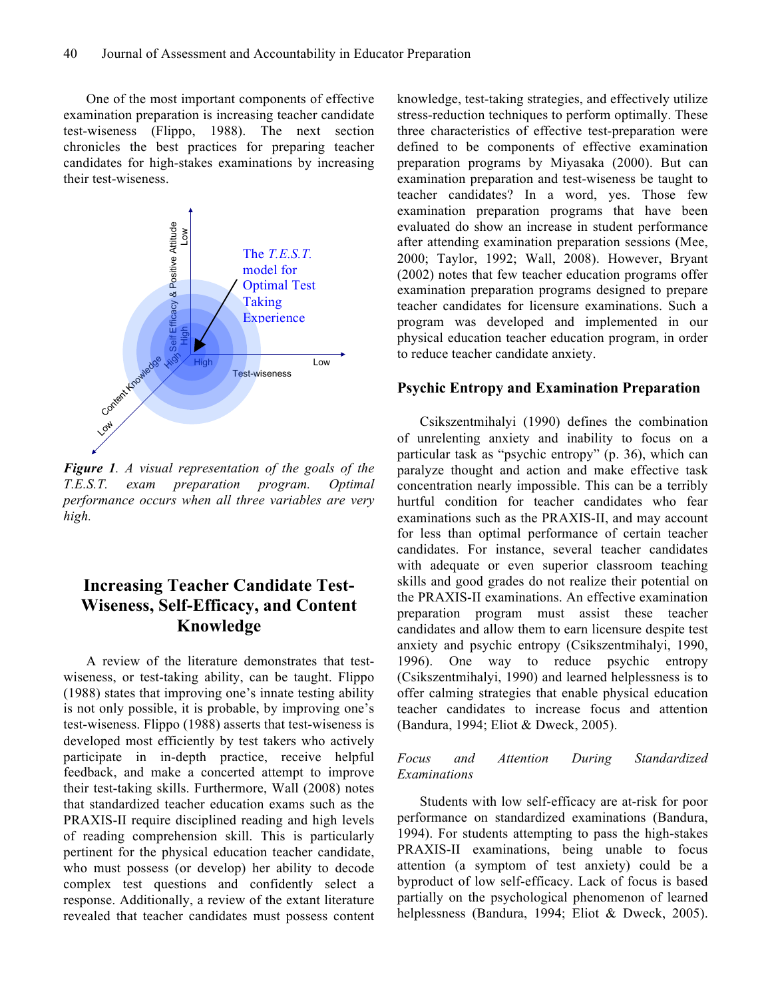One of the most important components of effective examination preparation is increasing teacher candidate test-wiseness (Flippo, 1988). The next section chronicles the best practices for preparing teacher candidates for high-stakes examinations by increasing their test-wiseness.



*Figure 1. A visual representation of the goals of the T.E.S.T. exam preparation program. Optimal performance occurs when all three variables are very high.* 

# **Increasing Teacher Candidate Test-Wiseness, Self-Efficacy, and Content Knowledge**

A review of the literature demonstrates that testwiseness, or test-taking ability, can be taught. Flippo (1988) states that improving one's innate testing ability is not only possible, it is probable, by improving one's test-wiseness. Flippo (1988) asserts that test-wiseness is developed most efficiently by test takers who actively participate in in-depth practice, receive helpful feedback, and make a concerted attempt to improve their test-taking skills. Furthermore, Wall (2008) notes that standardized teacher education exams such as the PRAXIS-II require disciplined reading and high levels of reading comprehension skill. This is particularly pertinent for the physical education teacher candidate, who must possess (or develop) her ability to decode complex test questions and confidently select a response. Additionally, a review of the extant literature revealed that teacher candidates must possess content

knowledge, test-taking strategies, and effectively utilize stress-reduction techniques to perform optimally. These three characteristics of effective test-preparation were defined to be components of effective examination preparation programs by Miyasaka (2000). But can examination preparation and test-wiseness be taught to teacher candidates? In a word, yes. Those few examination preparation programs that have been evaluated do show an increase in student performance after attending examination preparation sessions (Mee, 2000; Taylor, 1992; Wall, 2008). However, Bryant (2002) notes that few teacher education programs offer examination preparation programs designed to prepare teacher candidates for licensure examinations. Such a program was developed and implemented in our physical education teacher education program, in order to reduce teacher candidate anxiety.

#### **Psychic Entropy and Examination Preparation**

Csikszentmihalyi (1990) defines the combination of unrelenting anxiety and inability to focus on a particular task as "psychic entropy" (p. 36), which can paralyze thought and action and make effective task concentration nearly impossible. This can be a terribly hurtful condition for teacher candidates who fear examinations such as the PRAXIS-II, and may account for less than optimal performance of certain teacher candidates. For instance, several teacher candidates with adequate or even superior classroom teaching skills and good grades do not realize their potential on the PRAXIS-II examinations. An effective examination preparation program must assist these teacher candidates and allow them to earn licensure despite test anxiety and psychic entropy (Csikszentmihalyi, 1990, 1996). One way to reduce psychic entropy (Csikszentmihalyi, 1990) and learned helplessness is to offer calming strategies that enable physical education teacher candidates to increase focus and attention (Bandura, 1994; Eliot & Dweck, 2005).

#### *Focus and Attention During Standardized Examinations*

Students with low self-efficacy are at-risk for poor performance on standardized examinations (Bandura, 1994). For students attempting to pass the high-stakes PRAXIS-II examinations, being unable to focus attention (a symptom of test anxiety) could be a byproduct of low self-efficacy. Lack of focus is based partially on the psychological phenomenon of learned helplessness (Bandura, 1994; Eliot & Dweck, 2005).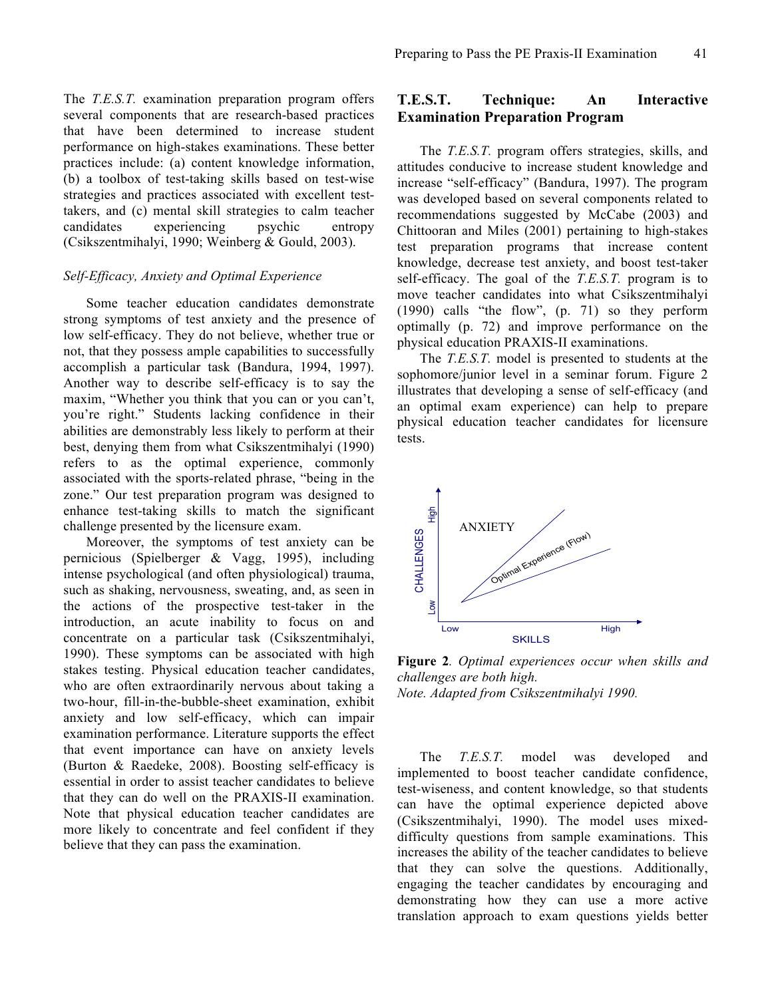The *T.E.S.T.* examination preparation program offers several components that are research-based practices that have been determined to increase student performance on high-stakes examinations. These better practices include: (a) content knowledge information, (b) a toolbox of test-taking skills based on test-wise strategies and practices associated with excellent testtakers, and (c) mental skill strategies to calm teacher candidates experiencing psychic entropy (Csikszentmihalyi, 1990; Weinberg & Gould, 2003).

#### *Self-Efficacy, Anxiety and Optimal Experience*

Some teacher education candidates demonstrate strong symptoms of test anxiety and the presence of low self-efficacy. They do not believe, whether true or not, that they possess ample capabilities to successfully accomplish a particular task (Bandura, 1994, 1997). Another way to describe self-efficacy is to say the maxim, "Whether you think that you can or you can't, you're right." Students lacking confidence in their abilities are demonstrably less likely to perform at their best, denying them from what Csikszentmihalyi (1990) refers to as the optimal experience, commonly associated with the sports-related phrase, "being in the zone." Our test preparation program was designed to enhance test-taking skills to match the significant challenge presented by the licensure exam.

Moreover, the symptoms of test anxiety can be pernicious (Spielberger & Vagg, 1995), including intense psychological (and often physiological) trauma, such as shaking, nervousness, sweating, and, as seen in the actions of the prospective test-taker in the introduction, an acute inability to focus on and concentrate on a particular task (Csikszentmihalyi, 1990). These symptoms can be associated with high stakes testing. Physical education teacher candidates, who are often extraordinarily nervous about taking a two-hour, fill-in-the-bubble-sheet examination, exhibit anxiety and low self-efficacy, which can impair examination performance. Literature supports the effect that event importance can have on anxiety levels (Burton & Raedeke, 2008). Boosting self-efficacy is essential in order to assist teacher candidates to believe that they can do well on the PRAXIS-II examination. Note that physical education teacher candidates are more likely to concentrate and feel confident if they believe that they can pass the examination.

#### **T.E.S.T. Technique: An Interactive Examination Preparation Program**

The *T.E.S.T.* program offers strategies, skills, and attitudes conducive to increase student knowledge and increase "self-efficacy" (Bandura, 1997). The program was developed based on several components related to recommendations suggested by McCabe (2003) and Chittooran and Miles (2001) pertaining to high-stakes test preparation programs that increase content knowledge, decrease test anxiety, and boost test-taker self-efficacy. The goal of the *T.E.S.T.* program is to move teacher candidates into what Csikszentmihalyi (1990) calls "the flow", (p. 71) so they perform optimally (p. 72) and improve performance on the physical education PRAXIS-II examinations.

The *T.E.S.T.* model is presented to students at the sophomore/junior level in a seminar forum. Figure 2 illustrates that developing a sense of self-efficacy (and an optimal exam experience) can help to prepare physical education teacher candidates for licensure tests.



**Figure 2***. Optimal experiences occur when skills and challenges are both high. Note. Adapted from Csikszentmihalyi 1990.*

The *T.E.S.T.* model was developed and implemented to boost teacher candidate confidence, test-wiseness, and content knowledge, so that students can have the optimal experience depicted above (Csikszentmihalyi, 1990). The model uses mixeddifficulty questions from sample examinations. This increases the ability of the teacher candidates to believe that they can solve the questions. Additionally, engaging the teacher candidates by encouraging and demonstrating how they can use a more active translation approach to exam questions yields better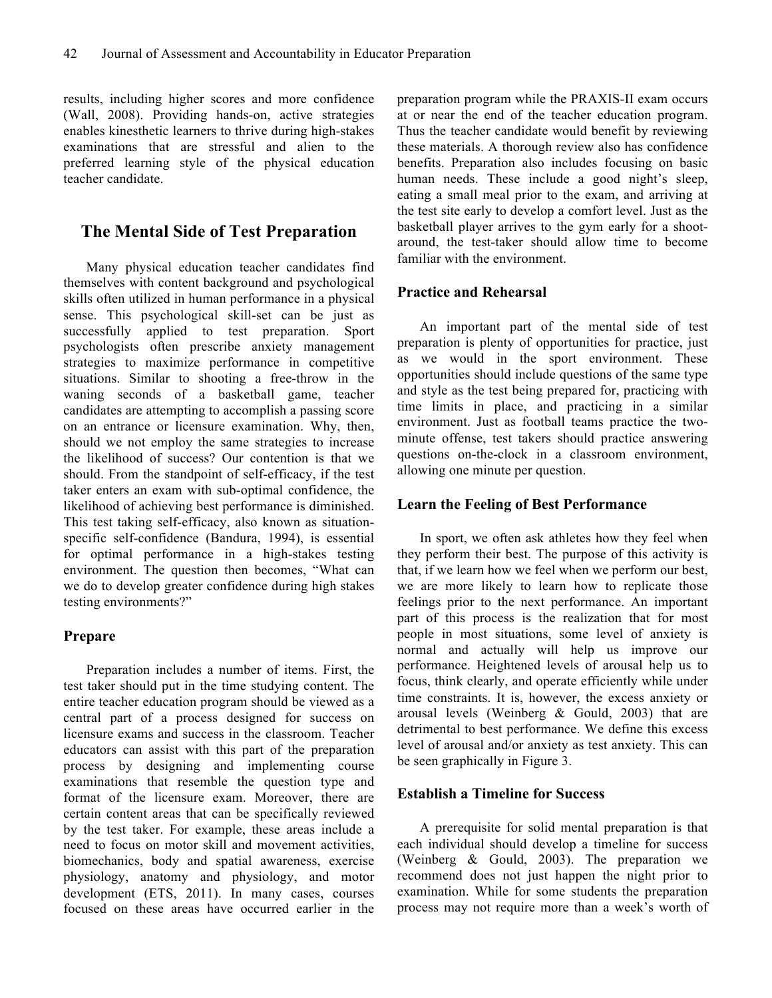results, including higher scores and more confidence (Wall, 2008). Providing hands-on, active strategies enables kinesthetic learners to thrive during high-stakes examinations that are stressful and alien to the preferred learning style of the physical education teacher candidate.

# **The Mental Side of Test Preparation**

Many physical education teacher candidates find themselves with content background and psychological skills often utilized in human performance in a physical sense. This psychological skill-set can be just as successfully applied to test preparation. Sport psychologists often prescribe anxiety management strategies to maximize performance in competitive situations. Similar to shooting a free-throw in the waning seconds of a basketball game, teacher candidates are attempting to accomplish a passing score on an entrance or licensure examination. Why, then, should we not employ the same strategies to increase the likelihood of success? Our contention is that we should. From the standpoint of self-efficacy, if the test taker enters an exam with sub-optimal confidence, the likelihood of achieving best performance is diminished. This test taking self-efficacy, also known as situationspecific self-confidence (Bandura, 1994), is essential for optimal performance in a high-stakes testing environment. The question then becomes, "What can we do to develop greater confidence during high stakes testing environments?"

#### **Prepare**

Preparation includes a number of items. First, the test taker should put in the time studying content. The entire teacher education program should be viewed as a central part of a process designed for success on licensure exams and success in the classroom. Teacher educators can assist with this part of the preparation process by designing and implementing course examinations that resemble the question type and format of the licensure exam. Moreover, there are certain content areas that can be specifically reviewed by the test taker. For example, these areas include a need to focus on motor skill and movement activities, biomechanics, body and spatial awareness, exercise physiology, anatomy and physiology, and motor development (ETS, 2011). In many cases, courses focused on these areas have occurred earlier in the

preparation program while the PRAXIS-II exam occurs at or near the end of the teacher education program. Thus the teacher candidate would benefit by reviewing these materials. A thorough review also has confidence benefits. Preparation also includes focusing on basic human needs. These include a good night's sleep, eating a small meal prior to the exam, and arriving at the test site early to develop a comfort level. Just as the basketball player arrives to the gym early for a shootaround, the test-taker should allow time to become familiar with the environment.

#### **Practice and Rehearsal**

An important part of the mental side of test preparation is plenty of opportunities for practice, just as we would in the sport environment. These opportunities should include questions of the same type and style as the test being prepared for, practicing with time limits in place, and practicing in a similar environment. Just as football teams practice the twominute offense, test takers should practice answering questions on-the-clock in a classroom environment, allowing one minute per question.

#### **Learn the Feeling of Best Performance**

In sport, we often ask athletes how they feel when they perform their best. The purpose of this activity is that, if we learn how we feel when we perform our best, we are more likely to learn how to replicate those feelings prior to the next performance. An important part of this process is the realization that for most people in most situations, some level of anxiety is normal and actually will help us improve our performance. Heightened levels of arousal help us to focus, think clearly, and operate efficiently while under time constraints. It is, however, the excess anxiety or arousal levels (Weinberg & Gould, 2003) that are detrimental to best performance. We define this excess level of arousal and/or anxiety as test anxiety. This can be seen graphically in Figure 3.

#### **Establish a Timeline for Success**

A prerequisite for solid mental preparation is that each individual should develop a timeline for success (Weinberg & Gould, 2003). The preparation we recommend does not just happen the night prior to examination. While for some students the preparation process may not require more than a week's worth of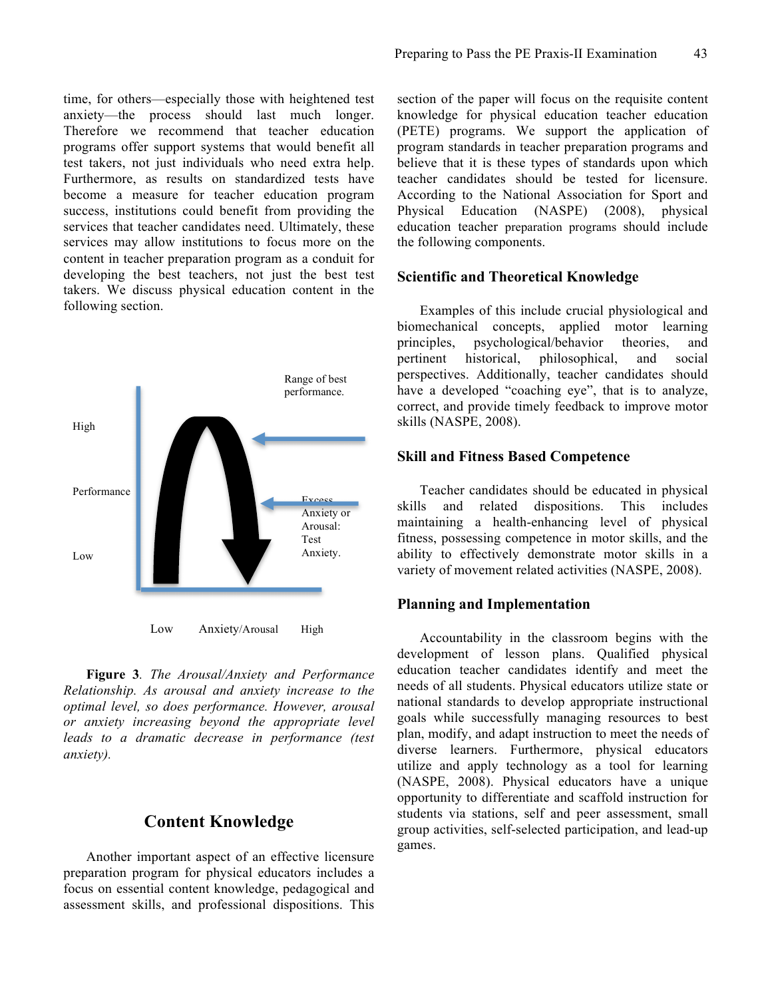time, for others—especially those with heightened test anxiety—the process should last much longer. Therefore we recommend that teacher education programs offer support systems that would benefit all test takers, not just individuals who need extra help. Furthermore, as results on standardized tests have become a measure for teacher education program success, institutions could benefit from providing the services that teacher candidates need. Ultimately, these services may allow institutions to focus more on the content in teacher preparation program as a conduit for developing the best teachers, not just the best test takers. We discuss physical education content in the following section.



**Figure 3***. The Arousal/Anxiety and Performance Relationship. As arousal and anxiety increase to the optimal level, so does performance. However, arousal or anxiety increasing beyond the appropriate level leads to a dramatic decrease in performance (test anxiety).*

# **Content Knowledge**

Another important aspect of an effective licensure preparation program for physical educators includes a focus on essential content knowledge, pedagogical and assessment skills, and professional dispositions. This

section of the paper will focus on the requisite content knowledge for physical education teacher education (PETE) programs. We support the application of program standards in teacher preparation programs and believe that it is these types of standards upon which teacher candidates should be tested for licensure. According to the National Association for Sport and Physical Education (NASPE) (2008), physical education teacher preparation programs should include the following components.

#### **Scientific and Theoretical Knowledge**

Examples of this include crucial physiological and biomechanical concepts, applied motor learning principles, psychological/behavior theories, and pertinent historical, philosophical, and social perspectives. Additionally, teacher candidates should have a developed "coaching eye", that is to analyze, correct, and provide timely feedback to improve motor skills (NASPE, 2008).

#### **Skill and Fitness Based Competence**

Teacher candidates should be educated in physical skills and related dispositions. This includes maintaining a health-enhancing level of physical fitness, possessing competence in motor skills, and the ability to effectively demonstrate motor skills in a variety of movement related activities (NASPE, 2008).

#### **Planning and Implementation**

Accountability in the classroom begins with the development of lesson plans. Qualified physical education teacher candidates identify and meet the needs of all students. Physical educators utilize state or national standards to develop appropriate instructional goals while successfully managing resources to best plan, modify, and adapt instruction to meet the needs of diverse learners. Furthermore, physical educators utilize and apply technology as a tool for learning (NASPE, 2008). Physical educators have a unique opportunity to differentiate and scaffold instruction for students via stations, self and peer assessment, small group activities, self-selected participation, and lead-up games.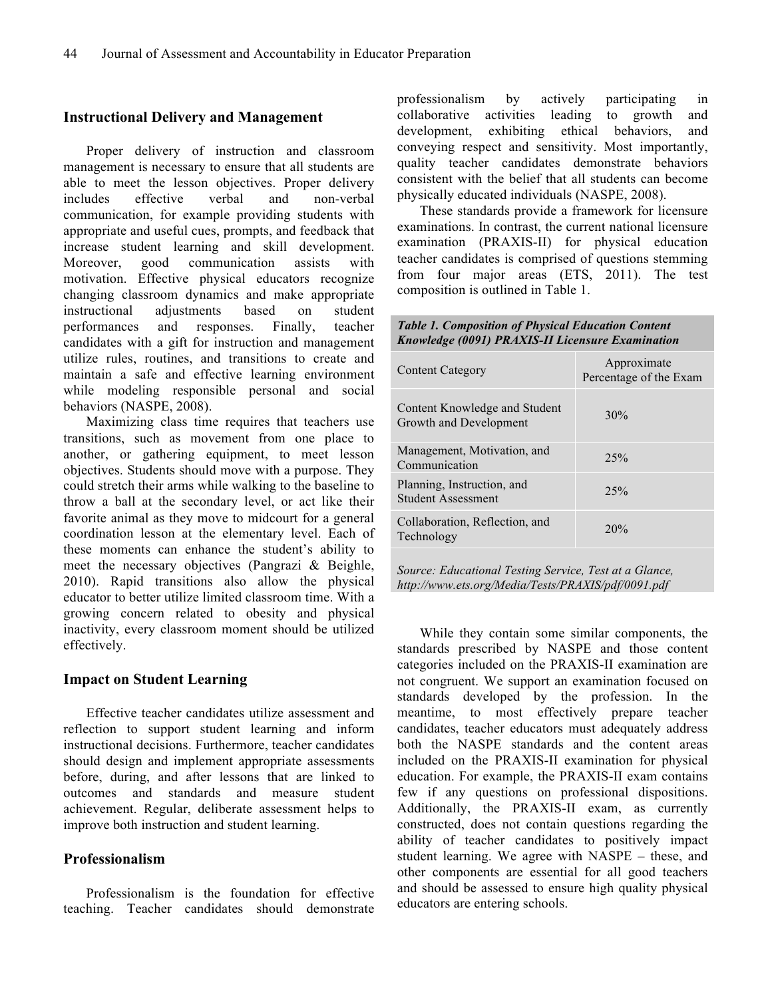#### **Instructional Delivery and Management**

Proper delivery of instruction and classroom management is necessary to ensure that all students are able to meet the lesson objectives. Proper delivery includes effective verbal and non-verbal communication, for example providing students with appropriate and useful cues, prompts, and feedback that increase student learning and skill development. Moreover, good communication assists with motivation. Effective physical educators recognize changing classroom dynamics and make appropriate instructional adjustments based on student performances and responses. Finally, teacher candidates with a gift for instruction and management utilize rules, routines, and transitions to create and maintain a safe and effective learning environment while modeling responsible personal and social behaviors (NASPE, 2008).

Maximizing class time requires that teachers use transitions, such as movement from one place to another, or gathering equipment, to meet lesson objectives. Students should move with a purpose. They could stretch their arms while walking to the baseline to throw a ball at the secondary level, or act like their favorite animal as they move to midcourt for a general coordination lesson at the elementary level. Each of these moments can enhance the student's ability to meet the necessary objectives (Pangrazi & Beighle, 2010). Rapid transitions also allow the physical educator to better utilize limited classroom time. With a growing concern related to obesity and physical inactivity, every classroom moment should be utilized effectively.

#### **Impact on Student Learning**

Effective teacher candidates utilize assessment and reflection to support student learning and inform instructional decisions. Furthermore, teacher candidates should design and implement appropriate assessments before, during, and after lessons that are linked to outcomes and standards and measure student achievement. Regular, deliberate assessment helps to improve both instruction and student learning.

## **Professionalism**

Professionalism is the foundation for effective teaching. Teacher candidates should demonstrate professionalism by actively participating in collaborative activities leading to growth and development, exhibiting ethical behaviors, and conveying respect and sensitivity. Most importantly, quality teacher candidates demonstrate behaviors consistent with the belief that all students can become physically educated individuals (NASPE, 2008).

These standards provide a framework for licensure examinations. In contrast, the current national licensure examination (PRAXIS-II) for physical education teacher candidates is comprised of questions stemming from four major areas (ETS, 2011). The test composition is outlined in Table 1.

| <b>Content Category</b>                                 | Approximate<br>Percentage of the Exam |
|---------------------------------------------------------|---------------------------------------|
| Content Knowledge and Student<br>Growth and Development | 30%                                   |
| Management, Motivation, and<br>Communication            | 25%                                   |
| Planning, Instruction, and<br><b>Student Assessment</b> | 25%                                   |
| Collaboration, Reflection, and<br>Technology            | 20%                                   |

*Table 1. Composition of Physical Education Content Knowledge (0091) PRAXIS-II Licensure Examination*

*Source: Educational Testing Service, Test at a Glance, http://www.ets.org/Media/Tests/PRAXIS/pdf/0091.pdf*

While they contain some similar components, the standards prescribed by NASPE and those content categories included on the PRAXIS-II examination are not congruent. We support an examination focused on standards developed by the profession. In the meantime, to most effectively prepare teacher candidates, teacher educators must adequately address both the NASPE standards and the content areas included on the PRAXIS-II examination for physical education. For example, the PRAXIS-II exam contains few if any questions on professional dispositions. Additionally, the PRAXIS-II exam, as currently constructed, does not contain questions regarding the ability of teacher candidates to positively impact student learning. We agree with NASPE – these, and other components are essential for all good teachers and should be assessed to ensure high quality physical educators are entering schools.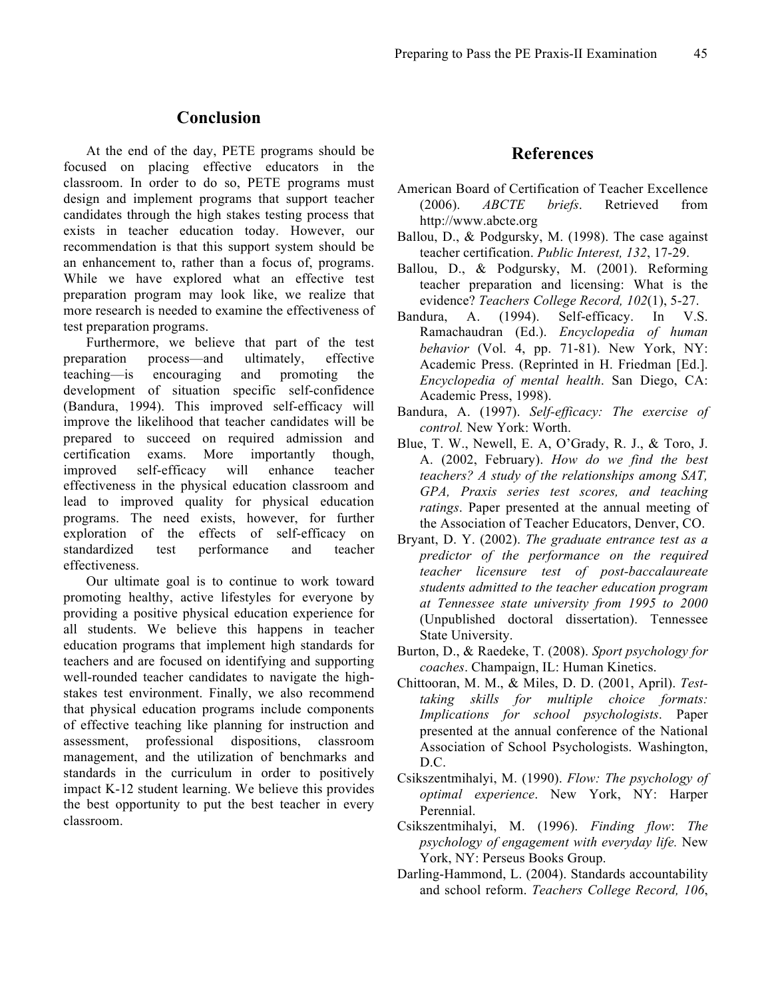# **Conclusion**

At the end of the day, PETE programs should be focused on placing effective educators in the classroom. In order to do so, PETE programs must design and implement programs that support teacher candidates through the high stakes testing process that exists in teacher education today. However, our recommendation is that this support system should be an enhancement to, rather than a focus of, programs. While we have explored what an effective test preparation program may look like, we realize that more research is needed to examine the effectiveness of test preparation programs.

Furthermore, we believe that part of the test preparation process—and ultimately, effective teaching—is encouraging and promoting the development of situation specific self-confidence (Bandura, 1994). This improved self-efficacy will improve the likelihood that teacher candidates will be prepared to succeed on required admission and certification exams. More importantly though, improved self-efficacy will enhance teacher effectiveness in the physical education classroom and lead to improved quality for physical education programs. The need exists, however, for further exploration of the effects of self-efficacy on standardized test performance and teacher effectiveness.

Our ultimate goal is to continue to work toward promoting healthy, active lifestyles for everyone by providing a positive physical education experience for all students. We believe this happens in teacher education programs that implement high standards for teachers and are focused on identifying and supporting well-rounded teacher candidates to navigate the highstakes test environment. Finally, we also recommend that physical education programs include components of effective teaching like planning for instruction and assessment, professional dispositions, classroom management, and the utilization of benchmarks and standards in the curriculum in order to positively impact K-12 student learning. We believe this provides the best opportunity to put the best teacher in every classroom.

## **References**

- American Board of Certification of Teacher Excellence (2006). *ABCTE briefs*. Retrieved from http://www.abcte.org
- Ballou, D., & Podgursky, M. (1998). The case against teacher certification. *Public Interest, 132*, 17-29.
- Ballou, D., & Podgursky, M. (2001). Reforming teacher preparation and licensing: What is the evidence? *Teachers College Record, 102*(1), 5-27.
- Bandura, A. (1994). Self-efficacy. In V.S. Ramachaudran (Ed.). *Encyclopedia of human behavior* (Vol. 4, pp. 71-81). New York, NY: Academic Press. (Reprinted in H. Friedman [Ed.]. *Encyclopedia of mental health*. San Diego, CA: Academic Press, 1998).
- Bandura, A. (1997). *Self-efficacy: The exercise of control.* New York: Worth.
- Blue, T. W., Newell, E. A, O'Grady, R. J., & Toro, J. A. (2002, February). *How do we find the best teachers? A study of the relationships among SAT, GPA, Praxis series test scores, and teaching ratings*. Paper presented at the annual meeting of the Association of Teacher Educators, Denver, CO.
- Bryant, D. Y. (2002). *The graduate entrance test as a predictor of the performance on the required teacher licensure test of post-baccalaureate students admitted to the teacher education program at Tennessee state university from 1995 to 2000*  (Unpublished doctoral dissertation). Tennessee State University.
- Burton, D., & Raedeke, T. (2008). *Sport psychology for coaches*. Champaign, IL: Human Kinetics.
- Chittooran, M. M., & Miles, D. D. (2001, April). *Testtaking skills for multiple choice formats: Implications for school psychologists*. Paper presented at the annual conference of the National Association of School Psychologists. Washington, D.C.
- Csikszentmihalyi, M. (1990). *Flow: The psychology of optimal experience*. New York, NY: Harper Perennial.
- Csikszentmihalyi, M. (1996). *Finding flow*: *The psychology of engagement with everyday life.* New York, NY: Perseus Books Group.
- Darling-Hammond, L. (2004). Standards accountability and school reform. *Teachers College Record, 106*,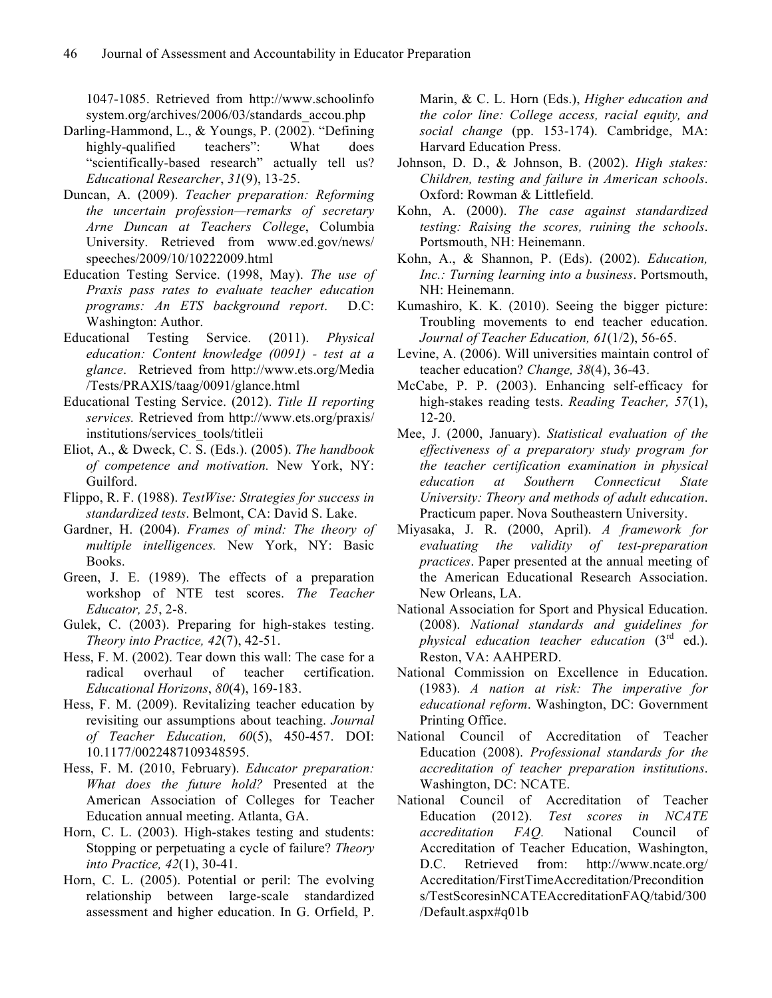1047-1085. Retrieved from http://www.schoolinfo system.org/archives/2006/03/standards\_accou.php

- Darling-Hammond, L., & Youngs, P. (2002). "Defining highly-qualified teachers": What does "scientifically-based research" actually tell us? *Educational Researcher*, *31*(9), 13-25.
- Duncan, A. (2009). *Teacher preparation: Reforming the uncertain profession—remarks of secretary Arne Duncan at Teachers College*, Columbia University. Retrieved from www.ed.gov/news/ speeches/2009/10/10222009.html
- Education Testing Service. (1998, May). *The use of Praxis pass rates to evaluate teacher education programs: An ETS background report*. D.C: Washington: Author.
- Educational Testing Service. (2011). *Physical education: Content knowledge (0091) - test at a glance*. Retrieved from http://www.ets.org/Media /Tests/PRAXIS/taag/0091/glance.html
- Educational Testing Service. (2012). *Title II reporting services.* Retrieved from http://www.ets.org/praxis/ institutions/services\_tools/titleii
- Eliot, A., & Dweck, C. S. (Eds.). (2005). *The handbook of competence and motivation.* New York, NY: Guilford.
- Flippo, R. F. (1988). *TestWise: Strategies for success in standardized tests*. Belmont, CA: David S. Lake.
- Gardner, H. (2004). *Frames of mind: The theory of multiple intelligences.* New York, NY: Basic Books.
- Green, J. E. (1989). The effects of a preparation workshop of NTE test scores. *The Teacher Educator, 25*, 2-8.
- Gulek, C. (2003). Preparing for high-stakes testing. *Theory into Practice, 42*(7), 42-51.
- Hess, F. M. (2002). Tear down this wall: The case for a radical overhaul of teacher certification. *Educational Horizons*, *80*(4), 169-183.
- Hess, F. M. (2009). Revitalizing teacher education by revisiting our assumptions about teaching. *Journal of Teacher Education, 60*(5), 450-457. DOI: 10.1177/0022487109348595.
- Hess, F. M. (2010, February). *Educator preparation: What does the future hold?* Presented at the American Association of Colleges for Teacher Education annual meeting. Atlanta, GA.
- Horn, C. L. (2003). High-stakes testing and students: Stopping or perpetuating a cycle of failure? *Theory into Practice, 42*(1), 30-41.
- Horn, C. L. (2005). Potential or peril: The evolving relationship between large-scale standardized assessment and higher education. In G. Orfield, P.

Marin, & C. L. Horn (Eds.), *Higher education and the color line: College access, racial equity, and social change* (pp. 153-174). Cambridge, MA: Harvard Education Press.

- Johnson, D. D., & Johnson, B. (2002). *High stakes: Children, testing and failure in American schools*. Oxford: Rowman & Littlefield.
- Kohn, A. (2000). *The case against standardized testing: Raising the scores, ruining the schools*. Portsmouth, NH: Heinemann.
- Kohn, A., & Shannon, P. (Eds). (2002). *Education, Inc.: Turning learning into a business*. Portsmouth, NH: Heinemann.
- Kumashiro, K. K. (2010). Seeing the bigger picture: Troubling movements to end teacher education. *Journal of Teacher Education, 61*(1/2), 56-65.
- Levine, A. (2006). Will universities maintain control of teacher education? *Change, 38*(4), 36-43.
- McCabe, P. P. (2003). Enhancing self-efficacy for high-stakes reading tests. *Reading Teacher, 57*(1), 12-20.
- Mee, J. (2000, January). *Statistical evaluation of the effectiveness of a preparatory study program for the teacher certification examination in physical education at Southern Connecticut State University: Theory and methods of adult education*. Practicum paper. Nova Southeastern University.
- Miyasaka, J. R. (2000, April). *A framework for evaluating the validity of test-preparation practices*. Paper presented at the annual meeting of the American Educational Research Association. New Orleans, LA.
- National Association for Sport and Physical Education. (2008). *National standards and guidelines for physical education teacher education* (3rd ed.). Reston, VA: AAHPERD.
- National Commission on Excellence in Education. (1983). *A nation at risk: The imperative for educational reform*. Washington, DC: Government Printing Office.
- National Council of Accreditation of Teacher Education (2008). *Professional standards for the accreditation of teacher preparation institutions*. Washington, DC: NCATE.
- National Council of Accreditation of Teacher Education (2012). *Test scores in NCATE accreditation FAQ.* National Council of Accreditation of Teacher Education, Washington, D.C. Retrieved from: http://www.ncate.org/ Accreditation/FirstTimeAccreditation/Precondition s/TestScoresinNCATEAccreditationFAQ/tabid/300 /Default.aspx#q01b